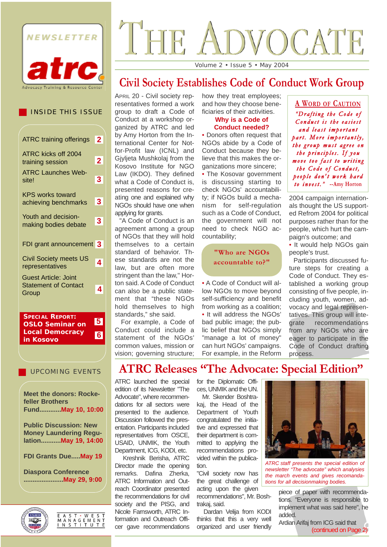

# INSIDE THIS ISSUE

| <b>ATRC training offerings</b>                                      | $\mathbf{2}$   |
|---------------------------------------------------------------------|----------------|
| ATRC kicks off 2004<br>training session                             | $\overline{2}$ |
| <b>ATRC Launches Web-</b><br>site!                                  | $\mathbf{3}$   |
| <b>KPS works toward</b><br>achieving benchmarks                     | 3 <sup>1</sup> |
| Youth and decision-<br>making bodies debate                         | 3              |
| FDI grant announcement 3                                            |                |
| <b>Civil Society meets US</b><br>representatives                    | 4              |
| <b>Guest Article: Joint</b><br><b>Statement of Contact</b><br>Group | 4              |
| <b>SPECIAL REPORT:</b><br>OSLO Seminar on                           | -5             |

**OSLO Seminar on Local Democracy in Kosovo 6**

## UPCOMING EVENTS

**Meet the donors: Rockefeller Brothers Fund............May 10, 10:00 Public Discussion: New**

**Money Laundering Regulation...........May 19, 14:00** 

**FDI Grants Due.....May 19**

**Diaspora Conference ......................May 29, 9:00**





# VOCATE THE

Volume 2 • Issue 5 • May 2004

# **Civil Society Establishes Code of Conduct Work Group**

APRIL 20 - Civil society representatives formed a work group to draft a Code of Conduct at a workshop organized by ATRC and led by Amy Horton from the International Center for Notfor-Profit law (ICNL) and Gjyljeta Mushkolaj from the Kosovo Institute for NGO Law (IKDO). They defined what a Code of Conduct is, presented reasons for creating one and explained why NGOs should have one when applying for grants.

"A Code of Conduct is an agreement among a group of NGOs that they will hold themselves to a certain standard of behavior. These standards are not the law, but are often more stringent than the law," Horton said. A Code of Conduct can also be a public statement that "these NGOs hold themselves to high standards," she said.

For example, a Code of Conduct could include a statement of the NGOs' common values, mission or vision; governing structure; how they treat employees; and how they choose beneficiaries of their activities.

## **Why is a Code of Conduct needed?**

• Donors often request that NGOs abide by a Code of Conduct because they believe that this makes the organizations more sincere;

• The Kosovar government is discussing starting to check NGOs' accountability; if NGOs build a mechanism for self-regulation such as a Code of Conduct, the government will not need to check NGO accountability;

> **"Who are NGOs accountable to?"**

• A Code of Conduct will allow NGOs to move beyond self-sufficiency and benefit from working as a coalition; • It will address the NGOs' bad public image; the public belief that NGOs simply "manage a lot of money" can hurt NGOs' campaigns. For example, in the Reform

**A WORD OF CAUTION** *" Dr a f t i n g t h e Co d e of Co n d u c t is t h e e a siest a n d le a st imp ort a n t p a rt . M ore imp ort a n t ly, t h e gro u p mu st a gree o n t h e p ri n c i p les. If yo u move too fast to writing t h e Co d e of Co n d u c t , p eo p le d o n ' t w or k h a r d to i n vest . "* **--Amy Horton**

2004 campaign internationals thought the US supported Refrom 2004 for political purposes rather than for the people, which hurt the campaign's outcome; and

• It would help NGOs gain people's trust.

Participants discussed future steps for creating a Code of Conduct. They established a working group consisting of five people, including youth, women, advocacy and legal representatives. This group will integrate recommendations from any NGOs who are eager to participate in the Code of Conduct drafting process.

# **ATRC Releases "The Advocate: Special Edition"**

ATRC launched the special edition of its Newsletter "The Advocate", where recommendations for all sectors were presented to the audience. Discussion followed the presentation. Participants included representatives from OSCE, USAID, UNMIK, the Youth Department, ICG, KODI, etc.

Kreshnik Berisha, ATRC Director made the opening remarks. Dafina Zherka, ATRC Information and Outreach Coordinator presented the recommendations for civil society and the PISG, and Nicole Farnsworth, ATRC Information and Outreach Officer gave recommendations

for the Diplomatic Offices, UNMIK and the UN.

Mr. Skender Boshtrakaj, the Head of the Department of Youth congratulated the initiative and expressed that their department is committed to applying the recommendations provided within the publication.

"Civil society now has the great challenge of acting upon the given recommendations", Mr. Boshtrakaj, said.

Dardan Velija from KODI thinks that this a very well organized and user friendly



*ATRC staff presents the special edition of newsletter "The advocate" which analysies the march events and gives recomandations for all decisionmaking bodies.* 

piece of paper with recommendations. "Everyone is responsible to implement what was said here", he added.

Ardian Arifaj from ICG said that (continued on Page 2)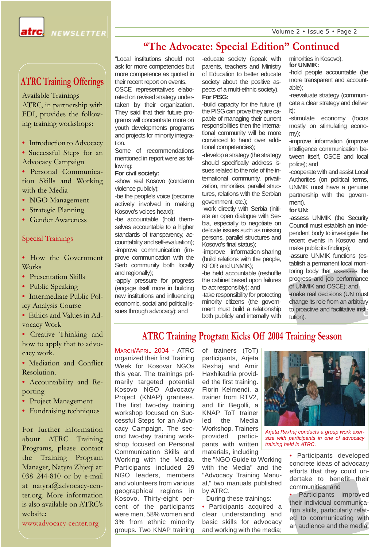# **"The Advocate: Special Edition" Continued**

"Local institutions should not ask for more competencies but more competence as quoted in their recent report on events.

OSCE representatives elaborated on revised strategy undertaken by their organization. They said that their future programs will concentrate more on youth developments programs and projects for minority integration.

Some of recommendations mentioned in report were as following:

### **For civil society:**

-show real Kosovo (condemn violence publicly);

-be the people's voice (become actively involved in making Kosovo's voices heard);

-be accountable (hold themselves accountable to a higher standards of transparency, accountability and self-evaluation); -improve communication (improve communication with the Serb community both locally and regionally);

-apply pressure for progress (engage itself more in building new institutions and influencing economic, social and political issues through advocacy); and

-educate society (speak with parents, teachers and Ministry of Education to better educate society about the positive aspects of a multi-ethnic society). **For PISG:**

-build capacity for the future (if the PISG can prove they are capable of managing their current responsibilities then the international community will be more convinced to hand over additional competencies);

-develop a strategy (the strategy should specifically address issues related to the role of the international community, privatization, minorities, parallel structures, relations with the Serbian government, etc.);

-work directly with Serbia (initiate an open dialogue with Serbia, especially to negotiate on delicate issues such as missing persons, parallel structures and Kosovo's final status);

-improve information-sharing (build relations with the people, KFOR and UNMIK);

-be held accountable (reshuffle the cabinet based upon failures to act responsibly); and

-take responsibility for protecting minority citizens (the government must build a relationship both publicly and internally with minorities in Kosovo). **for UNMIK:**

-hold people accountable (be more transparent and accountable);

-reevaluate strategy (communicate a clear strategy and deliver it);

-stimulate economy (focus mostly on stimulating economy);

-improve information (improve intelligence communication between itself, OSCE and local police); and

-cooperate with and assist Local Authorities (on political terms, UNMIK must have a genuine partnership with the government).

### **for UN:**

-assess UNMIK (the Security Council must establish an independent body to investigate the recent events in Kosovo and make public its findings);

-assure UNMIK functions (establish a permanent local monitoring body that assesses the progress and job performance of UNMIK and OSCE); and -make real decisions (UN must change its role from an arbitrary to proactive and facilitative institution).

# **ATRC Training Program Kicks Off 2004 Training Season**

MARCH/APRIL 2004 - ATRC organized their first Training Week for Kosovar NGOs this year. The trainings primarily targeted potential Kosovo NGO Advocacy Project (KNAP) grantees. The first two-day training workshop focused on Successful Steps for an Advocacy Campaign. The second two-day training workshop focused on Personal Communication Skills and Working with the Media. Participants included 29 NGO leaders, members and volunteers from various geographical regions in Kosovo. Thirty-eight percent of the participants were men, 58% women and 3% from ethnic minority groups. Two KNAP training

of trainers (ToT) participants, Arjeta Rexhaj and Amir Haxhikadria provided the first training. Florin Kelmendi, a trainer from RTV2, and Ilir Begolli, a KNAP ToT trainer led the Media Workshop. Trainers provided participants with written materials, including

the "NGO Guide to Working with the Media" and the "Advocacy Training Manual," two manuals published by ATRC.

During these trainings:

• Participants acquired a clear understanding and basic skills for advocacy and working with the media;



*Arjeta Rexhaj conducts a group work exersize with participants in one of advocacy training held in ATRC.*

> • Participants developed concrete ideas of advocacy efforts that they could undertake to benefit their communities; and

> • Participants improved their individual communication skills, particularly related to communicating with an audience and the media.

# FDI, provides the following training workshops:

ATRC, in partnership with

**ATRC Training Offerings**

Available Trainings

- Introduction to Advocacy
- Successful Steps for an Advocacy Campaign
- Personal Communication Skills and Working with the Media
- NGO Management
- Strategic Planning
- Gender Awareness

### Special Trainings

- How the Government Works
- Presentation Skills
- Public Speaking
- Intermediate Public Policy Analysis Course
- Ethics and Values in Advocacy Work
- Creative Thinking and how to apply that to advocacy work.
- Mediation and Conflict Resolution.
- Accountability and Reporting
- Project Management
- Fundraising techniques

For further information about ATRC Training Programs, please contact the Training Program Manager, Natyra Zhjeqi at: 038 244-810 or by e-mail at natyra@advocacy-center.org. More information is also available on ATRC's website:

www.advocacy-center.org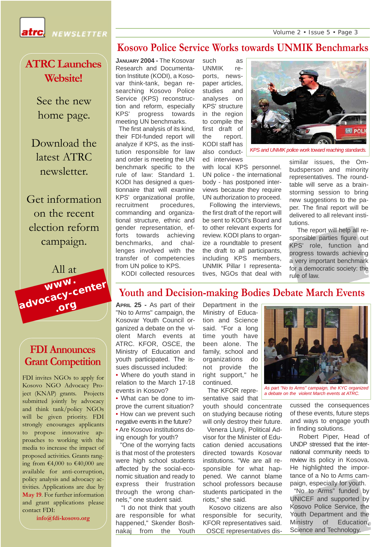Volume 2 • Issue 5 • Page 3



**NEWSLETTER** 

# **Kosovo Police Service Works towards UNMIK Benchmarks**

**ATRC Launches Website!**

> See the new home page.

Download the latest ATRC newsletter.

Get information on the recent election reform campaign.



# **FDI Announces Grant Competition**

FDI invites NGOs to apply for Kosovo NGO Advocacy Project (KNAP) grants. Projects submitted jointly by advocacy and think tank/policy NGOs will be given priority. FDI strongly encourages applicants to propose innovative approaches to working with the media to increase the impact of proposed activities. Grants ranging from €4,000 to €40,000 are available for anti-corruption, policy analysis and advocacy activities. Applications are due by **May 19**. For further information and grant applications please contact FDI:

**info@fdi-kosovo.org**

**JANUARY 2004 -** The Kosovar Research and Documentation Institute (KODI), a Kosovar think-tank, began researching Kosovo Police Service (KPS) reconstruction and reform, especially KPS' progress towards meeting UN benchmarks.

The first analysis of its kind, their FDI-funded report will analyze if KPS, as the institution responsible for law and order is meeting the UN benchmark specific to the rule of law: Standard 1. KODI has designed a questionnaire that will examine KPS' organizational profile, recruitment procedures, commanding and organizational structure, ethnic and gender representation, efforts towards achieving benchmarks, and challenges involved with the transfer of competencies from UN police to KPS.

such as UNMIK reports, newspaper articles, studies and analyses on KPS' structure in the region to compile the first draft of the report. KODI staff has also conducted interviews

with local KPS personnel. UN police - the international body - has postponed interviews because they require UN authorization to proceed.

Following the interviews, the first draft of the report will be sent to KODI's Board and to other relevant experts for review. KODI plans to organize a roundtable to present the draft to all participants, including KPS members, UNMIK Pillar I representatives, NGOs that deal with



*KPS and UNMIK police work toward reaching standards.*

similar issues, the Ombudsperson and minority representatives. The roundtable will serve as a brainstorming session to bring new suggestions to the paper. The final report will be delivered to all relevant institutions.

The report will help all responsible parties figure out KPS' role, function and progress towards achieving a very important benchmark for a democratic society: the rule of law.

KODI collected resources

# **Youth and Decision-making Bodies Debate March Events**

**APRIL 25 -** As part of their "No to Arms" campaign, the Kosovar Youth Council organized a debate on the violent March events at ATRC. KFOR, OSCE, the Ministry of Education and youth participated. The issues discussed included:

• Where do youth stand in relation to the March 17-18 events in Kosovo?

• What can be done to improve the current situation? • How can we prevent such negative events in the future?

• Are Kosovo institutions doing enough for youth?

"One of the worrying facts is that most of the protesters were high school students affected by the social-economic situation and ready to express their frustration through the wrong channels," one student said.

"I do not think that youth are responsible for what happened," Skender Boshnakaj from the Youth

Department in the Ministry of Education and Science said. "For a long time youth have been alone. The family, school and organizations do not provide the right support," he continued.

The KFOR representative said that

youth should concentrate on studying because rioting will only destroy their future.

Venera Llunji, Political Advisor for the Minister of Education denied accusations directed towards Kosovar institutions. "We are all responsible for what happened. We cannot blame school professors because students participated in the riots," she said.

Kosovo citizens are also responsible for security, KFOR representatives said. OSCE representatives dis-



*As part "No to Arms" campaign, the KYC organized a debate on the violent March events at ATRC.*

cussed the consequences of these events, future steps and ways to engage youth in finding solutions.

Robert Piper, Head of UNDP stressed that the international community needs to review its policy in Kosova. He highlighted the importance of a No to Arms campaign, especially for youth.

"No to Arms" funded by UNICEF and supported by Kosovo Police Service, the Youth Department and the Ministry of Education, Science and Technology.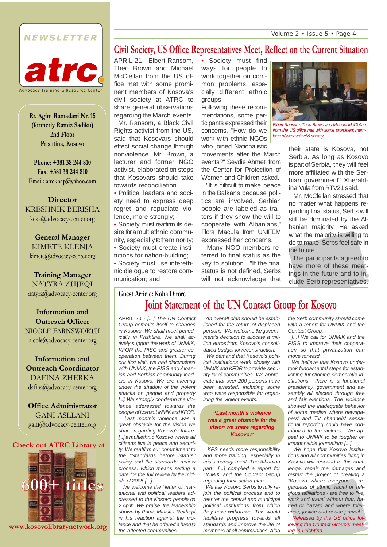Volume 2 • Issue 5 • Page 4

# **NEWSLETTER**



**Rr. Agim Ramadani Nr. 15 (formerly Ramiz Sadiku) 2nd Floor Prishtina, Kosovo**

**Phone: +381 38 244 810 Fax: +381 38 244 810 Email: atrcknap@yahoo.com**

# **Director**

KRESHNIK BERISHA keka@advocacy-center.org

# **General Manager** KIMETE KLENJA kimete@advocacy-center.org

**Training Manager** NATYRA ZHJEQI natyra@advocacy-center.org

# **Information and Outreach Officer** NICOLE FARNSWORTH nicole@advocacy-center.org

**Information and Outreach Coordinator** DAFINA ZHERKA dafina@advocacy-center.org

**Office Administrator** GANI ASLLANI gani@advocacy-center.org

## **Check out ATRC Library at**



**www.kosovolibrarynetwork.org**

# **Civil Society, US Office Representatives Meet, Reflect on the Current Situation**

APRIL 21 - Elbert Ransom, Theo Brown and Michael McClellan from the US office met with some prominent members of Kosova's civil society at ATRC to share general observations regarding the March events.

Mr. Ransom, a Black Civil Rights activist from the US, said that Kosovars should effect social change through nonviolence. Mr. Brown, a lecturer and former NGO activist, elaborated on steps that Kosovars should take towards reconciliation

• Political leaders and society need to express deep regret and repudiate violence, more strongly;

• Society must reaffirm its desire for a multiethnic community, especially to the minority;

• Society must create institutions for nation-building; • Society must use intereth-

nic dialogue to restore communication; and

• Society must find ways for people to work together on common problems, especially different ethnic groups.

Following these recommendations, some participants expressed their concerns. "How do we work with ethnic NGOs who joined Nationalistic

movements after the March events?" Sevdie Ahmeti from the Center for Protection of Women and Children asked.

"It is difficult to make peace in the Balkans because politics are involved. Serbian people are labeled as traitors if they show the will to cooperate with Albanians," Flora Macula from UNIFEM expressed her concerns.

Many NGO members referred to final status as the key to solution. "If the final status is not defined, Serbs will not acknowledge that



*Elbert Ransom, Theo Brown and Michael McClellan from the US office met with some prominent members of Kosova's civil society.*

their state is Kosova, not Serbia. As long as Kosovo is part of Serbia, they will feel more affiliated with the Serbian government" Xheraldina Vula from RTV21 said.

Mr. McClellan stressed that no matter what happens regarding final status, Serbs will still be dominated by the Albanian majority. He asked what the majority is willing to do to make Serbs feel safe in the future.

The participants agreed to have more of these meetings in the future and to include Serb representatives.

# **Joint Statement of the UN Contact Group for Kosovo Guest Article: Koha Ditore**

APRIL 20 - *[...] The UN Contact Group commits itself to changes in Kosovo. We shall meet periodically in Prishtina. We shall actively support the work of UNMIK, KFOR the PISG and greater cooperation between them. During our first visit, we had discussions with UNMIK, the PISG and Albanian and Serbian community leaders in Kosovo. We are meeting under the shadow of the violent attacks on people and property [...]. We strongly condemn the violence addressed towards the people of Kosovo,UNMIK and KFOR.*

*Last month's violence was a great obstacle for the vision we share regarding Kosovo's future: [...] a multiethnic Kosovo where all citizens live in peace and security. We reaffirm our commitment to the "Standards before Status" policy and the standards review process, which means setting a date for the full review by the middle of 2005 [...].* 

*We welcome the "letter of institutional and political leaders addressed to the Kosovo people on 2 April". We praise the leadership shown by Prime Minister Rexhepi in his reaction against the violence and that he offered a handto the affected communities.* 

*An overall plan should be established for the return of displaced persons. We welcome thegovernment's decision to allocate a million euros from Kosovo's consolidated budget for reconstruction.*

*We demand that Kosovo's political institutions work closely with UNMIK and KFOR to provide security for all communities. We appreciate that over 200 persons have been arrested, including some who were responsible for organizing the violent events.*

### **"***Last month's violence was a great obstacle for the vision we share regarding Kosovo***."**

*KPS needs more responsibility and more training, especially in crisis management. The Albanian part [...] compiled a report for UNMIK and the Contact Group regarding their action plan.*

*We ask Kosovo Serbs to fully rejoin the political process and to reenter the central and municipal political institutions from which they have withdrawn. This would facilitate progress towards all standards and improve the life of members of all communities. Also* *the Serb community should come with a report for UNMIK and the Contact Group.*

*[...] We call for UNMIK and the PISG to improve their cooperation so that privatization can move forward.*

*We believe that Kosovo undertook fundamental steps for establishing functioning democratic institutions - there is a functional presidency, government and assembly all elected through free and fair elections. The violence showed the inadequate behavior of some medias where newspapers' and TV channels' sensational reporting could have contributed to the violence. We appeal to UNMIK to be tougher on irresponsible journalism [...].*

*We hope that Kosovo institutions and all communities living in Kosovo will respond to this challenge, repair the damages and restart the project of creating a "Kosovo where everyone - regardless of ethnic, racial or religious affiliations - are free to live, work and travel without fear, hatred or hazard and where tolerance, justice and peace prevail."*

*Released by the US office following the Contact Group's meeting in Prishtina.*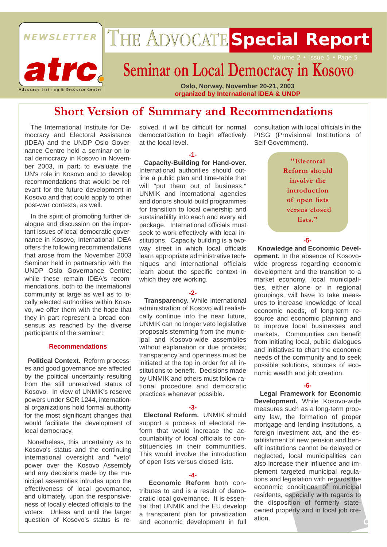NEWSLETTER



# THE ADVOCATE Special Report

# **Seminar on Local Democracy in Kosovo**

**Oslo, Norway, November 20-21, 2003 organized by International IDEA & UNDP**

# **Short Version of Summary and Recommendations**

The International Institute for Democracy and Electoral Assistance (IDEA) and the UNDP Oslo Governance Centre held a seminar on local democracy in Kosovo in November 2003, in part; to evaluate the UN's role in Kosovo and to develop recommendations that would be relevant for the future development in Kosovo and that could apply to other post-war contexts, as well.

In the spirit of promoting further dialogue and discussion on the important issues of local democratic governance in Kosovo, International IDEA offers the following recommendations that arose from the November 2003 Seminar held in partnership with the UNDP Oslo Governance Centre; while these remain IDEA's recommendations, both to the international community at large as well as to locally elected authorities within Kosovo, we offer them with the hope that they in part represent a broad consensus as reached by the diverse participants of the seminar:

### **Recommendations**

**Political Context.** Reform processes and good governance are affected by the political uncertainty resulting from the still unresolved status of Kosovo. In view of UNMIK's reserve powers under SCR 1244, international organizations hold formal authority for the most significant changes that would facilitate the development of local democracy.

Nonetheless, this uncertainty as to Kosovo's status and the continuing international oversight and "veto" power over the Kosovo Assembly and any decisions made by the municipal assemblies intrudes upon the effectiveness of local governance, and ultimately, upon the responsiveness of locally elected officials to the voters. Unless and until the larger question of Kosovo's status is resolved, it will be difficult for normal democratization to begin effectively at the local level.

**-1-**

**Capacity-Building for Hand-over.** International authorities should outline a public plan and time-table that will "put them out of business." UNMIK and international agencies and donors should build programmes for transition to local ownership and sustainability into each and every aid package. International officials must seek to work effectively with local institutions. Capacity building is a twoway street in which local officials learn appropriate administrative techniques and international officials learn about the specific context in which they are working.

### **-2-**

**Transparency.** While international administration of Kosovo will realistically continue into the near future, UNMIK can no longer veto legislative proposals stemming from the municipal and Kosovo-wide assemblies without explanation or due process; transparency and openness must be initiated at the top in order for all institutions to benefit. Decisions made by UNMIK and others must follow rational procedure and democratic practices whenever possible.

## **-3-**

**Electoral Reform.** UNMIK should support a process of electoral reform that would increase the accountability of local officials to constituencies in their communities. This would involve the introduction of open lists versus closed lists.

## **-4-**

**Economic Reform** both contributes to and is a result of democratic local governance. It is essential that UNMIK and the EU develop a transparent plan for privatization and economic development in full

consultation with local officials in the PISG (Provisional Institutions of Self-Government).

> **"Electoral Reform should involve the introduction of open lists versus closed lists."**

> > **-5-**

**Knowledge and Economic Development.** In the absence of Kosovowide progress regarding economic development and the transition to a market economy, local municipalities, either alone or in regional groupings, will have to take measures to increase knowledge of local economic needs, of long-term resource and economic planning and to improve local businesses and markets. Communities can benefit from initiating local, public dialogues and initiatives to chart the economic needs of the community and to seek possible solutions, sources of economic wealth and job creation.

## **-6-**

**Legal Framework for Economic Development.** While Kosovo-wide measures such as a long-term property law, the formation of proper mortgage and lending institutions, a foreign investment act, and the establishment of new pension and benefit institutions cannot be delayed or neglected, local municipalities can also increase their influence and implement targeted municipal regulations and legislation with regards the economic conditions of municipal residents, especially with regards to the disposition of formerly stateowned property and in local job creation.